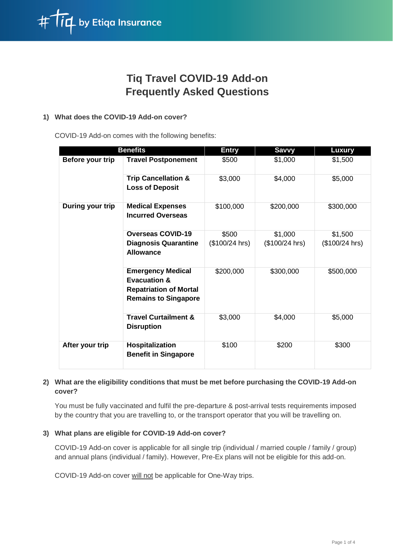

# **Tiq Travel COVID-19 Add-on Frequently Asked Questions**

## **1) What does the COVID-19 Add-on cover?**

COVID-19 Add-on comes with the following benefits:

| <b>Benefits</b>  |                                                                                                                     | <b>Entry</b>    | <b>Savvy</b>   | <b>Luxury</b>  |
|------------------|---------------------------------------------------------------------------------------------------------------------|-----------------|----------------|----------------|
| Before your trip | <b>Travel Postponement</b>                                                                                          | \$500           | \$1,000        | \$1,500        |
|                  | <b>Trip Cancellation &amp;</b><br><b>Loss of Deposit</b>                                                            | \$3,000         | \$4,000        | \$5,000        |
| During your trip | <b>Medical Expenses</b><br><b>Incurred Overseas</b>                                                                 | \$100,000       | \$200,000      | \$300,000      |
|                  | <b>Overseas COVID-19</b>                                                                                            | \$500           | \$1,000        | \$1,500        |
|                  | <b>Diagnosis Quarantine</b><br><b>Allowance</b>                                                                     | $($100/24$ hrs) | (\$100/24 hrs) | (\$100/24 hrs) |
|                  | <b>Emergency Medical</b><br><b>Evacuation &amp;</b><br><b>Repatriation of Mortal</b><br><b>Remains to Singapore</b> | \$200,000       | \$300,000      | \$500,000      |
|                  | <b>Travel Curtailment &amp;</b><br><b>Disruption</b>                                                                | \$3,000         | \$4,000        | \$5,000        |
| After your trip  | Hospitalization<br><b>Benefit in Singapore</b>                                                                      | \$100           | \$200          | \$300          |

# **2) What are the eligibility conditions that must be met before purchasing the COVID-19 Add-on cover?**

You must be fully vaccinated and fulfil the pre-departure & post-arrival tests requirements imposed by the country that you are travelling to, or the transport operator that you will be travelling on.

# **3) What plans are eligible for COVID-19 Add-on cover?**

COVID-19 Add-on cover is applicable for all single trip (individual / married couple / family / group) and annual plans (individual / family). However, Pre-Ex plans will not be eligible for this add-on.

COVID-19 Add-on cover will not be applicable for One-Way trips.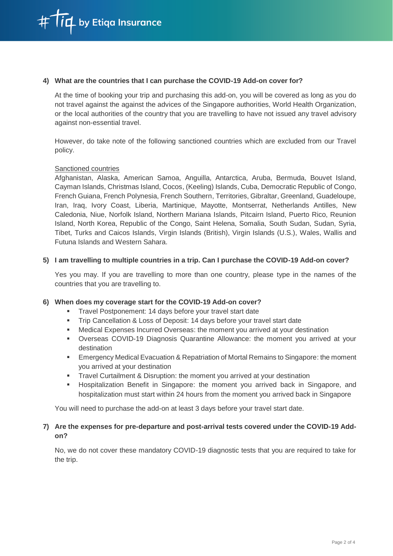

#### **4) What are the countries that I can purchase the COVID-19 Add-on cover for?**

At the time of booking your trip and purchasing this add-on, you will be covered as long as you do not travel against the against the advices of the Singapore authorities, World Health Organization, or the local authorities of the country that you are travelling to have not issued any travel advisory against non-essential travel.

However, do take note of the following sanctioned countries which are excluded from our Travel policy.

#### Sanctioned countries

Afghanistan, Alaska, American Samoa, Anguilla, Antarctica, Aruba, Bermuda, Bouvet Island, Cayman Islands, Christmas Island, Cocos, (Keeling) Islands, Cuba, Democratic Republic of Congo, French Guiana, French Polynesia, French Southern, Territories, Gibraltar, Greenland, Guadeloupe, Iran, Iraq, Ivory Coast, Liberia, Martinique, Mayotte, Montserrat, Netherlands Antilles, New Caledonia, Niue, Norfolk Island, Northern Mariana Islands, Pitcairn Island, Puerto Rico, Reunion Island, North Korea, Republic of the Congo, Saint Helena, Somalia, South Sudan, Sudan, Syria, Tibet, Turks and Caicos Islands, Virgin Islands (British), Virgin Islands (U.S.), Wales, Wallis and Futuna Islands and Western Sahara.

#### **5) I am travelling to multiple countries in a trip. Can I purchase the COVID-19 Add-on cover?**

Yes you may. If you are travelling to more than one country, please type in the names of the countries that you are travelling to.

#### **6) When does my coverage start for the COVID-19 Add-on cover?**

- Travel Postponement: 14 days before your travel start date
- Trip Cancellation & Loss of Deposit: 14 days before your travel start date
- Medical Expenses Incurred Overseas: the moment you arrived at your destination
- Overseas COVID-19 Diagnosis Quarantine Allowance: the moment you arrived at your destination
- Emergency Medical Evacuation & Repatriation of Mortal Remains to Singapore: the moment you arrived at your destination
- Travel Curtailment & Disruption: the moment you arrived at your destination
- Hospitalization Benefit in Singapore: the moment you arrived back in Singapore, and hospitalization must start within 24 hours from the moment you arrived back in Singapore

You will need to purchase the add-on at least 3 days before your travel start date.

#### **7) Are the expenses for pre-departure and post-arrival tests covered under the COVID-19 Addon?**

No, we do not cover these mandatory COVID-19 diagnostic tests that you are required to take for the trip.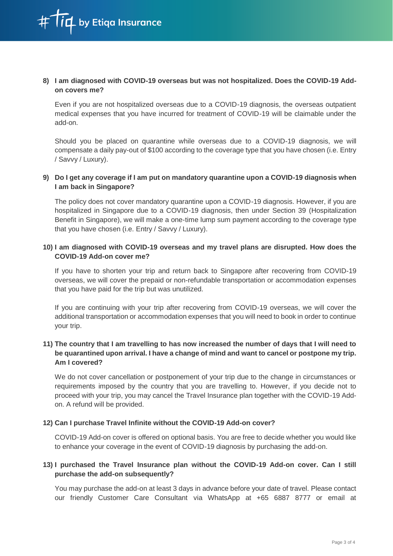## **8) I am diagnosed with COVID-19 overseas but was not hospitalized. Does the COVID-19 Addon covers me?**

Even if you are not hospitalized overseas due to a COVID-19 diagnosis, the overseas outpatient medical expenses that you have incurred for treatment of COVID-19 will be claimable under the add-on.

Should you be placed on quarantine while overseas due to a COVID-19 diagnosis, we will compensate a daily pay-out of \$100 according to the coverage type that you have chosen (i.e. Entry / Savvy / Luxury).

## **9) Do I get any coverage if I am put on mandatory quarantine upon a COVID-19 diagnosis when I am back in Singapore?**

The policy does not cover mandatory quarantine upon a COVID-19 diagnosis. However, if you are hospitalized in Singapore due to a COVID-19 diagnosis, then under Section 39 (Hospitalization Benefit in Singapore), we will make a one-time lump sum payment according to the coverage type that you have chosen (i.e. Entry / Savvy / Luxury).

# **10) I am diagnosed with COVID-19 overseas and my travel plans are disrupted. How does the COVID-19 Add-on cover me?**

If you have to shorten your trip and return back to Singapore after recovering from COVID-19 overseas, we will cover the prepaid or non-refundable transportation or accommodation expenses that you have paid for the trip but was unutilized.

If you are continuing with your trip after recovering from COVID-19 overseas, we will cover the additional transportation or accommodation expenses that you will need to book in order to continue your trip.

# **11) The country that I am travelling to has now increased the number of days that I will need to be quarantined upon arrival. I have a change of mind and want to cancel or postpone my trip. Am I covered?**

We do not cover cancellation or postponement of your trip due to the change in circumstances or requirements imposed by the country that you are travelling to. However, if you decide not to proceed with your trip, you may cancel the Travel Insurance plan together with the COVID-19 Addon. A refund will be provided.

# **12) Can I purchase Travel Infinite without the COVID-19 Add-on cover?**

COVID-19 Add-on cover is offered on optional basis. You are free to decide whether you would like to enhance your coverage in the event of COVID-19 diagnosis by purchasing the add-on.

# **13) I purchased the Travel Insurance plan without the COVID-19 Add-on cover. Can I still purchase the add-on subsequently?**

You may purchase the add-on at least 3 days in advance before your date of travel. Please contact our friendly Customer Care Consultant via WhatsApp at +65 6887 8777 or email at